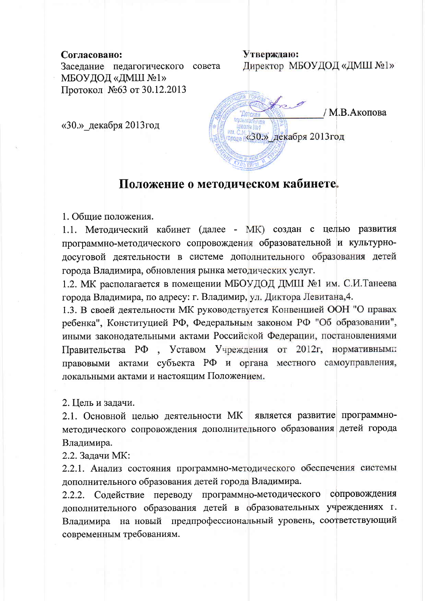## Согласовано:

Утверждаю: Директор МБОУДОД «ДМШ №1» Заседание педагогического совета МБОУДОД «ДМШ №1» Протокол №63 от 30.12.2013

«30.» декабря 2013 год

/ М.В.Акопова **Мола «З0.»** декабря 2013год

## Положение о методическом кабинете.

1. Общие положения.

1.1. Методический кабинет (далее - МК) создан с целью развития программно-методического сопровождения образовательной и культурнодосуговой деятельности в системе дополнительного образования детей города Владимира, обновления рынка методических услуг.

1.2. МК располагается в помещении МБОУДОД ДМШ №1 им. С.И.Танеева города Владимира, по адресу: г. Владимир, ул. Диктора Левитана, 4.

1.3. В своей деятельности МК руководствуется Конвенцией ООН "О правах ребенка", Конституцией РФ, Федеральным законом РФ "Об образовании", иными законодательными актами Российской Федерации, постановлениями , Уставом Учреждения от 2012г, нормативными Правительства РФ правовыми актами субъекта РФ и органа местного самоуправления, локальными актами и настоящим Положением.

2. Цель и задачи.

2.1. Основной целью деятельности МК является развитие программнометодического сопровождения дополнительного образования детей города Владимира.

2.2. Задачи МК:

2.2.1. Анализ состояния программно-методического обеспечения системы дополнительного образования детей города Владимира.

2.2.2. Содействие переводу программно-методического сопровождения дополнительного образования детей в образовательных учреждениях г. Владимира на новый предпрофессиональный уровень, соответствующий современным требованиям.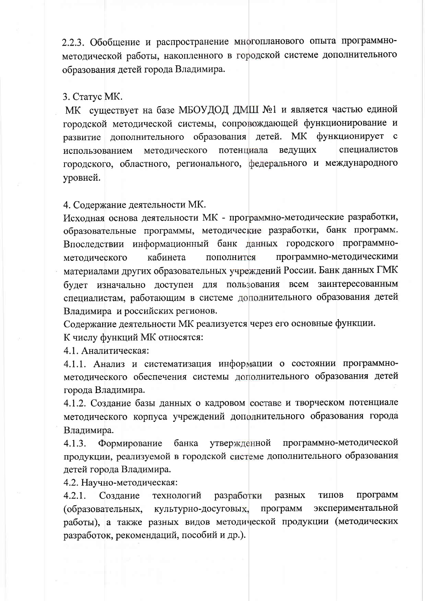2.2.3. Обобщение и распространение многопланового опыта программнометодической работы, накопленного в городской системе дополнительного образования детей города Владимира.

## 3. Craryc MK.

МК существует на базе МБОУДОД ДМШ №1 и является частью единой городской методической системы, сопровождающей функционирование и детей. МК функционирует развитие дополнительного образования методического потенциала ведущих специалистов использованием городского, областного, регионального, федерального и международного уровней.

## 4. Содержание деятельности МК.

Исходная основа деятельности МК - программно-методические разработки, образовательные программы, методические разработки, банк программ. Впоследствии информационный банк данных городского программнокабинета пополнится программно-методическими методического материалами других образовательных учреждений России. Банк данных ГМК будет изначально доступен для пользования всем заинтересованным специалистам, работающим в системе дополнительного образования детей Владимира и российских регионов.

Содержание деятельности МК реализуется через его основные функции.

К числу функций МК относятся:

4.1. Аналитическая:

4.1.1. Анализ и систематизация информации о состоянии программнометодического обеспечения системы дополнительного образования детей города Владимира.

4.1.2. Создание базы данных о кадровом составе и творческом потенциале методического корпуса учреждений дополнительного образования города Владимира.

программно-методической  $4.1.3.$ Формирование банка утвержденной продукции, реализуемой в городской системе дополнительного образования детей города Владимира.

4.2. Научно-методическая:

 $4.2.1.$ Создание технологий разработки разных типов программ экспериментальной культурно-досуговых, программ (образовательных, работы), а также разных видов методической продукции (методических разработок, рекомендаций, пособий и др.).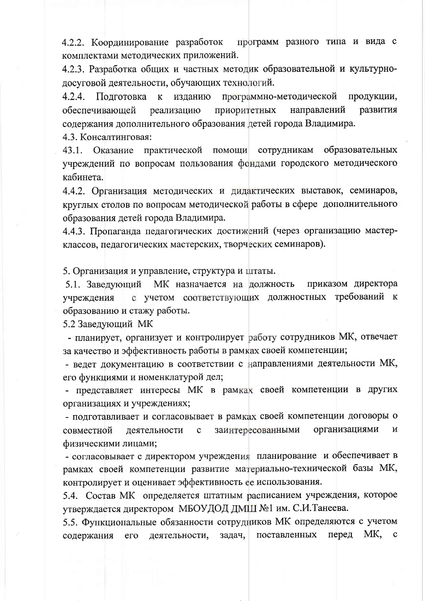программ разного типа и вида с 4.2.2. Координирование разработок комплектами методических приложений.

4.2.3. Разработка общих и частных методик образовательной и культурнодосуговой деятельности, обучающих технологий.

 $4.2.4.$ Подготовка программно-методической продукции,  $\bf K$ изданию обеспечивающей приоритетных направлений развития реализацию содержания дополнительного образования детей города Владимира.

4.3. Консалтинговая:

 $43.1.$ практической помощи сотрудникам образовательных Оказание учреждений по вопросам пользования фондами городского методического кабинета.

4.4.2. Организация методических и дидактических выставок, семинаров, круглых столов по вопросам методической работы в сфере дополнительного образования детей города Владимира.

4.4.3. Пропаганда педагогических достижений (через организацию мастерклассов, педагогических мастерских, творческих семинаров).

5. Организация и управление, структура и штаты.

приказом директора 5.1. Заведующий МК назначается на должность с учетом соответствующих должностных требований к учреждения образованию и стажу работы.

5.2 Заведующий МК

- планирует, организует и контролирует работу сотрудников МК, отвечает за качество и эффективность работы в рамках своей компетенции;

- ведет документацию в соответствии с направлениями деятельности МК, его функциями и номенклатурой дел;

- представляет интересы МК в рамках своей компетенции в других организациях и учреждениях;

- подготавливает и согласовывает в рамках своей компетенции договоры о организациями деятельности заинтересованными  $\mathbf{M}$ совместной  $\mathbf C$ физическими лицами;

- согласовывает с директором учреждения планирование и обеспечивает в рамках своей компетенции развитие материально-технической базы МК, контролирует и оценивает эффективность ее использования.

5.4. Состав МК определяется штатным расписанием учреждения, которое утверждается директором МБОУДОД ДМШ №1 им. С.И.Танеева.

5.5. Функциональные обязанности сотрудников МК определяются с учетом МK, перед содержания  $ero$ деятельности, задач, поставленных  $\mathbf{c}$